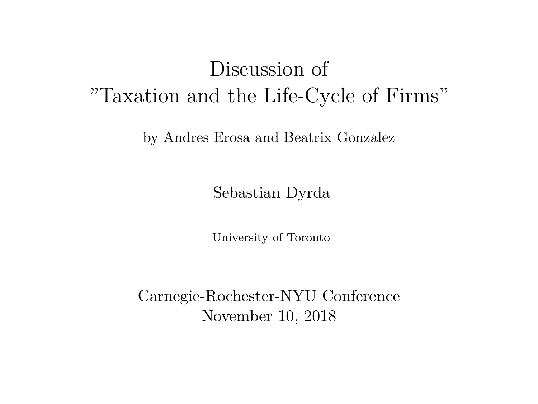### Discussion of "Taxation and the Life-Cycle of Firms"

by Andres Erosa and Beatrix Gonzalez

Sebastian Dyrda

University of Toronto

Carnegie-Rochester-NYU Conference November 10, 2018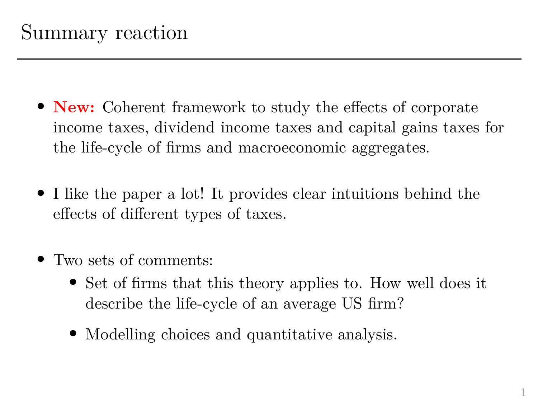- **New:** Coherent framework to study the effects of corporate income taxes, dividend income taxes and capital gains taxes for the life-cycle of firms and macroeconomic aggregates.
- I like the paper a lot! It provides clear intuitions behind the effects of different types of taxes.
- Two sets of comments:
	- Set of firms that this theory applies to. How well does it describe the life-cycle of an average US firm?
	- Modelling choices and quantitative analysis.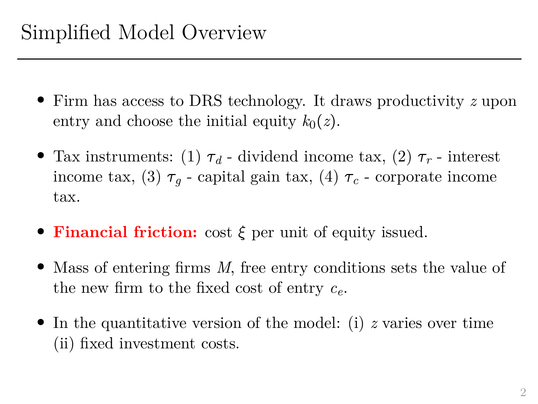- Firm has access to DRS technology. It draws productivity *z* upon entry and choose the initial equity  $k_0(z)$ .
- Tax instruments: (1)  $\tau_d$  dividend income tax, (2)  $\tau_r$  interest income tax, (3)  $\tau_q$  - capital gain tax, (4)  $\tau_c$  - corporate income tax.
- **Financial friction:** cost  $\xi$  per unit of equity issued.
- Mass of entering firms *M*, free entry conditions sets the value of the new firm to the fixed cost of entry *ce*.
- In the quantitative version of the model: (i) *z* varies over time (ii) fixed investment costs.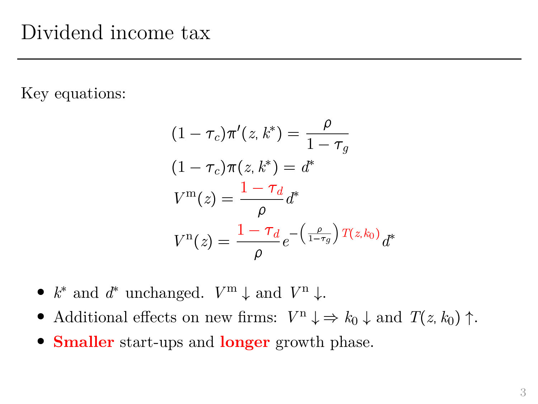Key equations:

$$
(1 - \tau_c)\pi'(z, k^*) = \frac{\rho}{1 - \tau_g}
$$

$$
(1 - \tau_c)\pi(z, k^*) = d^*
$$

$$
V^{\mathbf{m}}(z) = \frac{1 - \tau_d}{\rho}d^*
$$

$$
V^{\mathbf{n}}(z) = \frac{1 - \tau_d}{\rho}e^{-\left(\frac{\rho}{1 - \tau_g}\right)T(z, k_0)}d^*
$$

- $k^*$  and  $d^*$  unchanged.  $V^{\mathbf{m}} \downarrow$  and  $V^{\mathbf{n}} \downarrow$ .
- Additional effects on new firms:  $V^n \downarrow \Rightarrow k_0 \downarrow$  and  $T(z, k_0) \uparrow$ .
- **Smaller** start-ups and **longer** growth phase.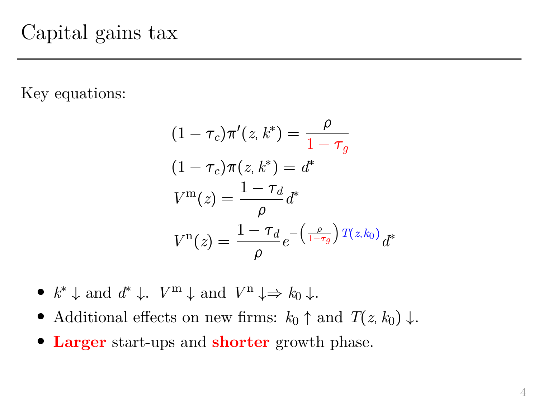Key equations:

$$
(1 - \tau_c)\pi'(z, k^*) = \frac{\rho}{1 - \tau_g}
$$

$$
(1 - \tau_c)\pi(z, k^*) = d^*
$$

$$
V^{\mathbf{m}}(z) = \frac{1 - \tau_d}{\rho}d^*
$$

$$
V^{\mathbf{n}}(z) = \frac{1 - \tau_d}{\rho}e^{-\left(\frac{\rho}{1 - \tau_g}\right)T(z, k_0)}d^*
$$

- $k^*$   $\downarrow$  and  $d^*$   $\downarrow$ .  $V^{\mathrm{m}}$   $\downarrow$  and  $V^{\mathrm{n}}$   $\downarrow \Rightarrow k_0$   $\downarrow$ .
- Additional effects on new firms:  $k_0 \uparrow$  and  $T(z, k_0) \downarrow$ .
- **Larger** start-ups and **shorter** growth phase.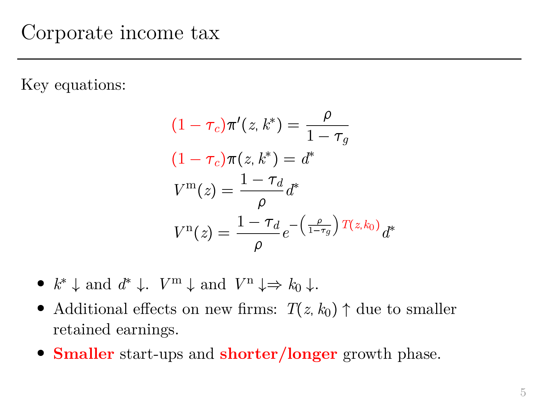Key equations:

$$
(1 - \tau_c)\pi'(z, k^*) = \frac{\rho}{1 - \tau_g}
$$

$$
(1 - \tau_c)\pi(z, k^*) = d^*
$$

$$
V^{\mathbf{m}}(z) = \frac{1 - \tau_d}{\rho}d^*
$$

$$
V^{\mathbf{n}}(z) = \frac{1 - \tau_d}{\rho}e^{-\left(\frac{\rho}{1 - \tau_g}\right)T(z, k_0)}d^*
$$

- $k^*$   $\downarrow$  and  $d^*$   $\downarrow$ .  $V^{\mathrm{m}}$   $\downarrow$  and  $V^{\mathrm{n}}$   $\downarrow \Rightarrow k_0$   $\downarrow$ .
- Additional effects on new firms:  $T(z, k_0) \uparrow$  due to smaller retained earnings.
- **Smaller** start-ups and **shorter/longer** growth phase.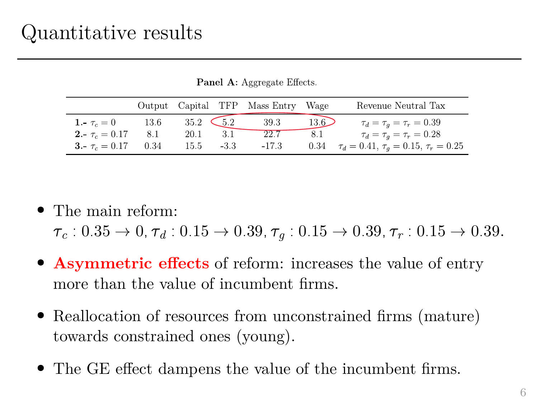|                     |      |                                           |      | Output Capital TFP Mass Entry Wage |      | Revenue Neutral Tax                                      |
|---------------------|------|-------------------------------------------|------|------------------------------------|------|----------------------------------------------------------|
| 1. $\tau_c = 0$     | 13.6 | $35.2 \quad \textcolor{red}{\bigodot}5.2$ |      | 39.3                               | 13.6 | $\tau_d = \tau_q = \tau_r = 0.39$                        |
| $2 - \tau_c = 0.17$ | 8.1  | 20.1                                      | -3.1 | 22.7                               | 8.1  | $\tau_d = \tau_a = \tau_r = 0.28$                        |
| 3. $\tau_c = 0.17$  | 0.34 | 15.5                                      | -3.3 | $-17.3$                            |      | 0.34 $\tau_d = 0.41$ , $\tau_a = 0.15$ , $\tau_r = 0.25$ |

Panel A: Aggregate Effects.

• The main reform:

 $\tau_c$  : 0.35  $\rightarrow$  0,  $\tau_d$  : 0.15  $\rightarrow$  0.39,  $\tau_a$  : 0.15  $\rightarrow$  0.39,  $\tau_r$  : 0.15  $\rightarrow$  0.39.

- **Asymmetric effects** of reform: increases the value of entry more than the value of incumbent firms.
- Reallocation of resources from unconstrained firms (mature) towards constrained ones (young).
- The GE effect dampens the value of the incumbent firms.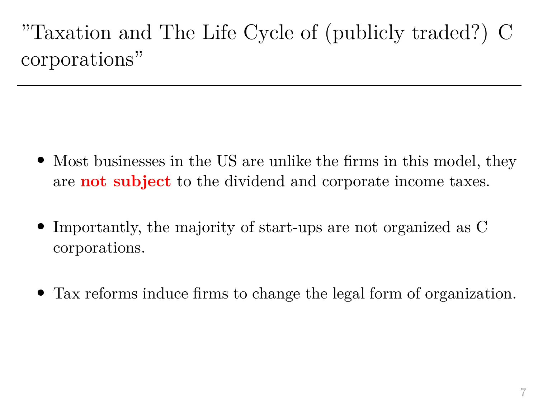## "Taxation and The Life Cycle of (publicly traded?) C corporations"

- Most businesses in the US are unlike the firms in this model, they are **not subject** to the dividend and corporate income taxes.
- Importantly, the majority of start-ups are not organized as C corporations.
- Tax reforms induce firms to change the legal form of organization.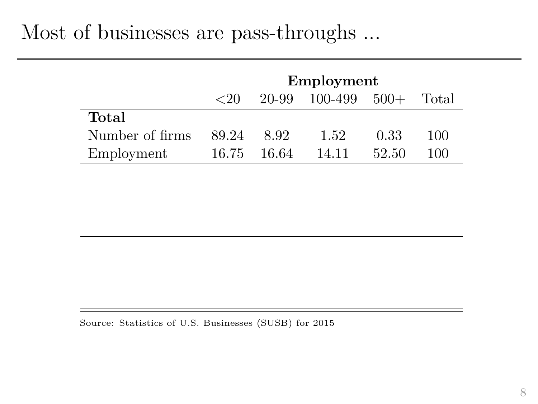#### Most of businesses are pass-throughs ...

|                 | Employment           |        |         |        |       |  |
|-----------------|----------------------|--------|---------|--------|-------|--|
|                 | $\langle 20 \rangle$ | 20-99  | 100-499 | $500+$ | Total |  |
| Total           |                      |        |         |        |       |  |
| Number of firms | 89.24                | 8.92   | 1.52    | 0.33   | 100   |  |
| Employment      | 16.75                | -16.64 | 14.11   | 52.50  | 100   |  |

Source: Statistics of U.S. Businesses (SUSB) for 2015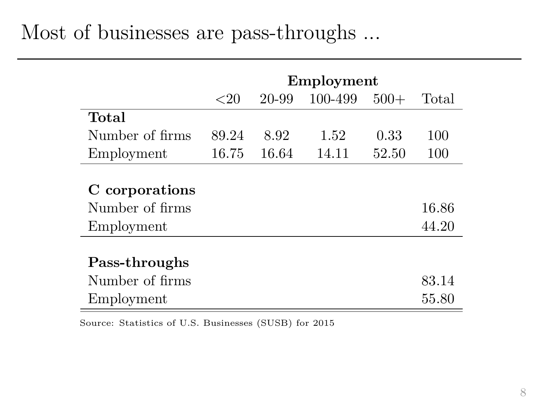#### Most of businesses are pass-throughs ...

|                                                 | Employment |       |         |        |                |
|-------------------------------------------------|------------|-------|---------|--------|----------------|
|                                                 | ${<}20$    | 20-99 | 100-499 | $500+$ | Total          |
| Total                                           |            |       |         |        |                |
| Number of firms                                 | 89.24      | 8.92  | 1.52    | 0.33   | 100            |
| Employment                                      | 16.75      | 16.64 | 14.11   | 52.50  | 100            |
| C corporations<br>Number of firms<br>Employment |            |       |         |        | 16.86<br>44.20 |
| Pass-throughs                                   |            |       |         |        |                |
| Number of firms                                 |            |       |         |        | 83.14          |
| Employment                                      |            |       |         |        | 55.80          |

Source: Statistics of U.S. Businesses (SUSB) for 2015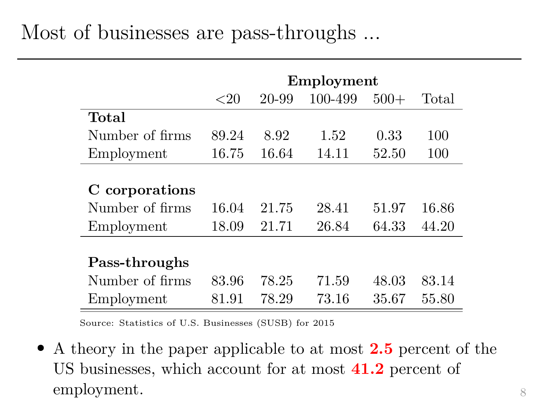|                                                 | Employment     |                |                |                |                |
|-------------------------------------------------|----------------|----------------|----------------|----------------|----------------|
|                                                 | ${<}20$        | 20-99          | 100-499        | $500+$         | Total          |
| Total                                           |                |                |                |                |                |
| Number of firms                                 | 89.24          | 8.92           | 1.52           | 0.33           | 100            |
| Employment                                      | 16.75          | 16.64          | 14.11          | 52.50          | 100            |
| C corporations<br>Number of firms<br>Employment | 16.04<br>18.09 | 21.75<br>21.71 | 28.41<br>26.84 | 51.97<br>64.33 | 16.86<br>44.20 |
| Pass-throughs                                   |                |                |                |                |                |
| Number of firms                                 | 83.96          | 78.25          | 71.59          | 48.03          | 83.14          |
| Employment                                      | 81.91          | 78.29          | 73.16          | 35.67          | 55.80          |

Source: Statistics of U.S. Businesses (SUSB) for 2015

 A theory in the paper applicable to at most **2.5** percent of the US businesses, which account for at most **41.2** percent of employment.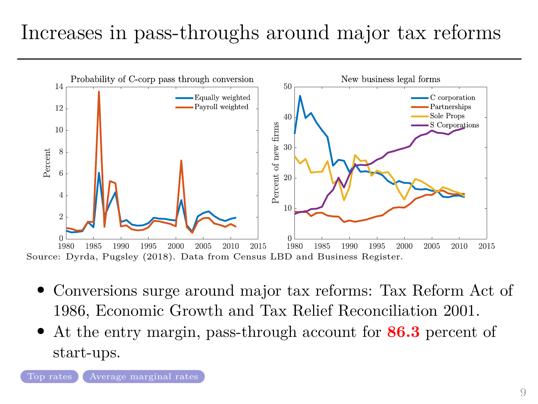# Increases in pass-throughs around major tax reforms



- Conversions surge around major tax reforms: Tax Reform Act of 1986, Economic Growth and Tax Relief Reconciliation 2001.
- At the entry margin, pass-through account for **86.3** percent of start-ups.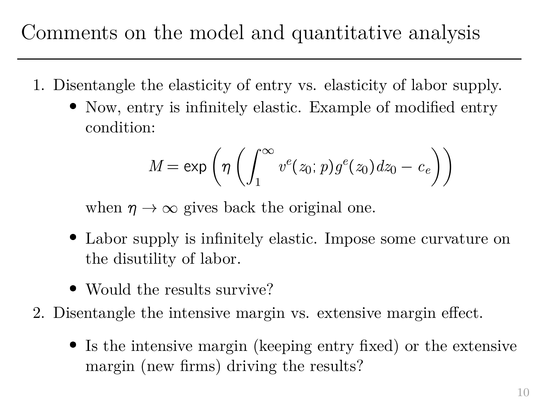- 1. Disentangle the elasticity of entry vs. elasticity of labor supply.
	- Now, entry is infinitely elastic. Example of modified entry condition:

$$
M = \exp\left(\eta \left(\int_1^\infty v^e(z_0; p) g^e(z_0) dz_0 - c_e\right)\right)
$$

when  $\eta \to \infty$  gives back the original one.

- Labor supply is infinitely elastic. Impose some curvature on the disutility of labor.
- Would the results survive?
- 2. Disentangle the intensive margin vs. extensive margin effect.
	- Is the intensive margin (keeping entry fixed) or the extensive margin (new firms) driving the results?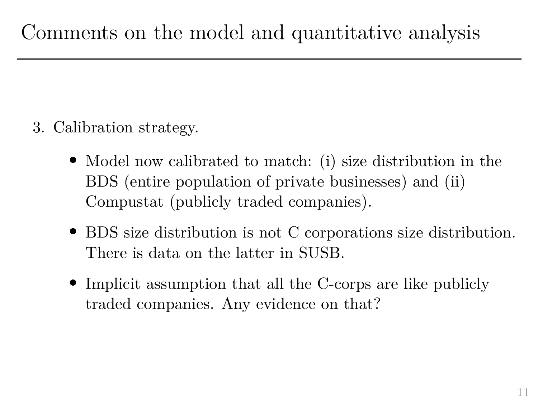- 3. Calibration strategy.
	- Model now calibrated to match: (i) size distribution in the BDS (entire population of private businesses) and (ii) Compustat (publicly traded companies).
	- BDS size distribution is not C corporations size distribution. There is data on the latter in SUSB.
	- Implicit assumption that all the C-corps are like publicly traded companies. Any evidence on that?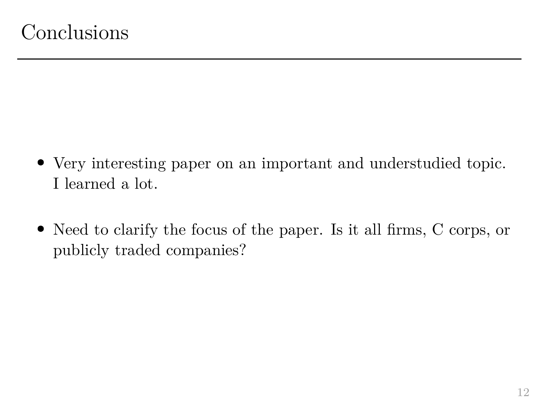- Very interesting paper on an important and understudied topic. I learned a lot.
- Need to clarify the focus of the paper. Is it all firms, C corps, or publicly traded companies?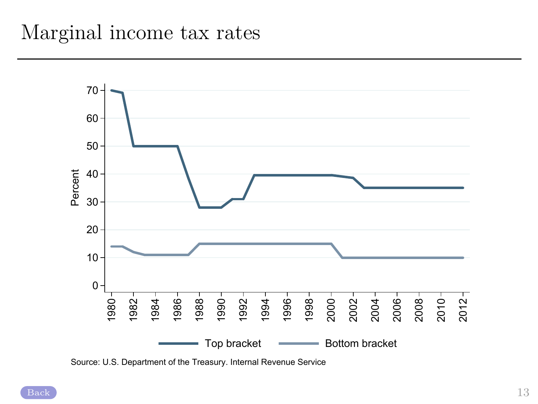

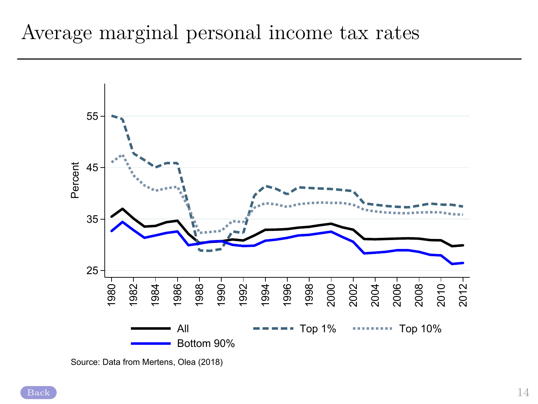

Average marginal personal income tax rates